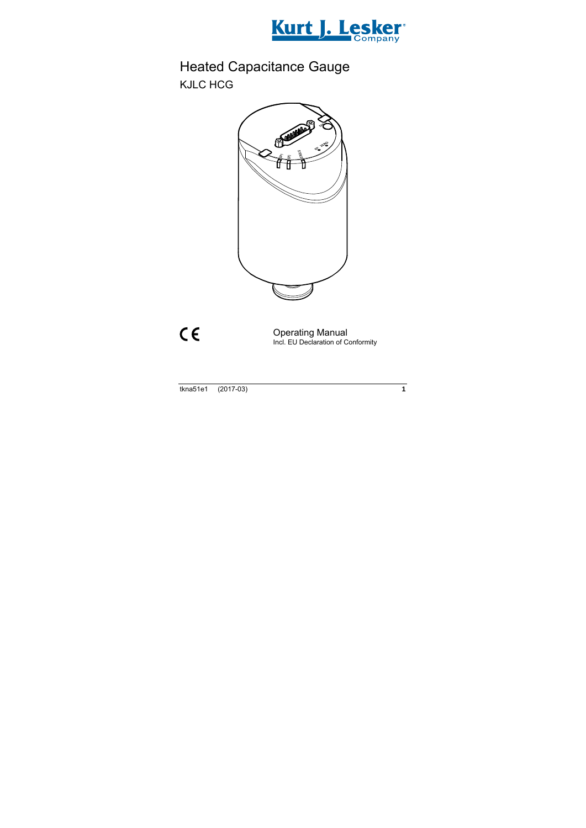

# Heated Capacitance Gauge KJLC HCG



 $C \in$ 

Operating Manual Incl. EU Declaration of Conformity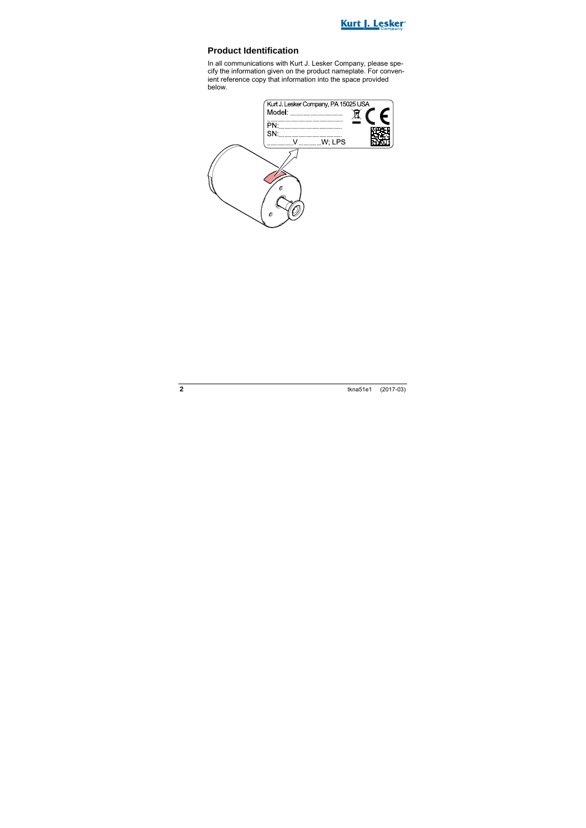

#### **Product Identification**

In all communications with Kurt J. Lesker Company, please specify the information given on the product nameplate. For convenient reference copy that information into the space provided below.

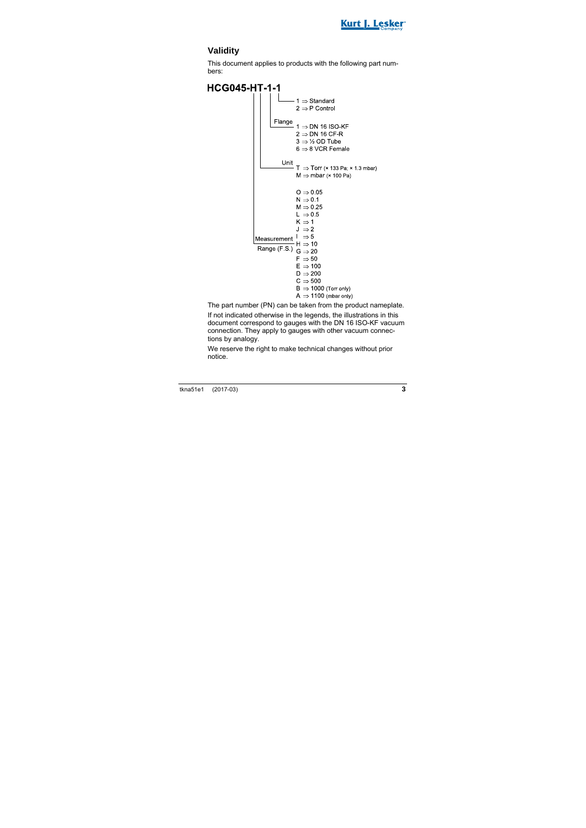

### **Validity**

This document applies to products with the following part numbers:

**HCG045-HT-1-1**  $1 \Rightarrow$  Standard  $2 \Rightarrow P$  Control Flange  $1 \Rightarrow$  DN 16 ISO-KF  $2 \Rightarrow$  DN 16 CF-R  $3 \Rightarrow \frac{1}{2}$  OD Tube  $6 \Rightarrow 8$  VCR Female Unit<br>  $T \Rightarrow Torr$  (× 133 Pa; × 1.3 mbar)<br>  $M \Rightarrow mbar$  (× 100 Pa)  $M \Rightarrow mbar$  ( $\times$  100 Pa)  $Q \Rightarrow 0.05$  $N \Rightarrow 0.1$  $M \Rightarrow 0.25$  $L \Rightarrow 0.5$  $K \Rightarrow 1$  $J \Rightarrow 2$  $I \Rightarrow 5$ Measurement  $H \Rightarrow 10$ Range (F S )  $G \Rightarrow 20$  $F \Rightarrow 50$  $F \Rightarrow 100$  $D \Rightarrow 200$  $C \Rightarrow 500$  $B \Rightarrow 1000$  (Torr only)  $A \Rightarrow 1100$  (mbar only)

The part number (PN) can be taken from the product nameplate.

If not indicated otherwise in the legends, the illustrations in this document correspond to gauges with the DN 16 ISO-KF vacuum connection. They apply to gauges with other vacuum connections by analogy.

We reserve the right to make technical changes without prior notice.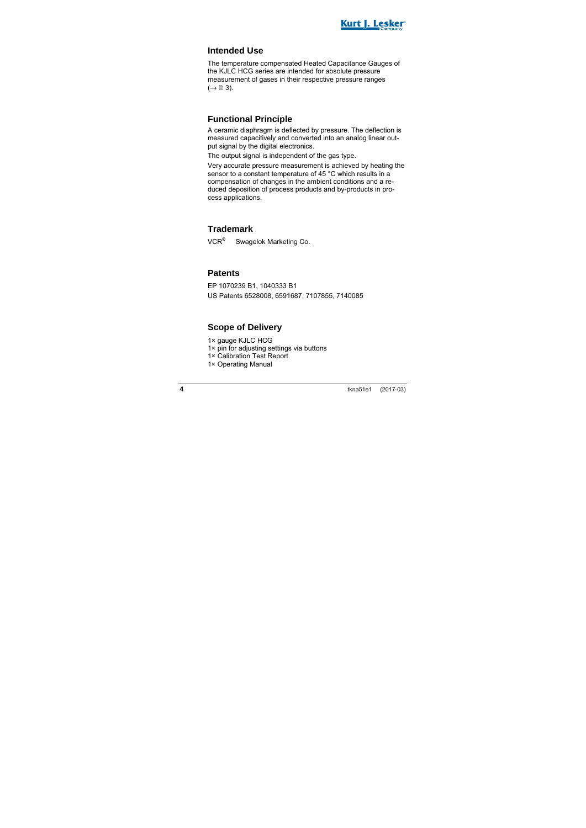

#### **Intended Use**

The temperature compensated Heated Capacitance Gauges of the KJLC HCG series are intended for absolute pressure measurement of gases in their respective pressure ranges  $(\rightarrow \Box$  3).

#### **Functional Principle**

A ceramic diaphragm is deflected by pressure. The deflection is measured capacitively and converted into an analog linear output signal by the digital electronics.

The output signal is independent of the gas type.

Very accurate pressure measurement is achieved by heating the sensor to a constant temperature of 45 °C which results in a compensation of changes in the ambient conditions and a reduced deposition of process products and by-products in process applications.

#### **Trademark**

VCR® Swagelok Marketing Co.

#### **Patents**

EP 1070239 B1, 1040333 B1 US Patents 6528008, 6591687, 7107855, 7140085

#### **Scope of Delivery**

1× gauge KJLC HCG

- 1× pin for adjusting settings via buttons
- 1× Calibration Test Report
- 1× Operating Manual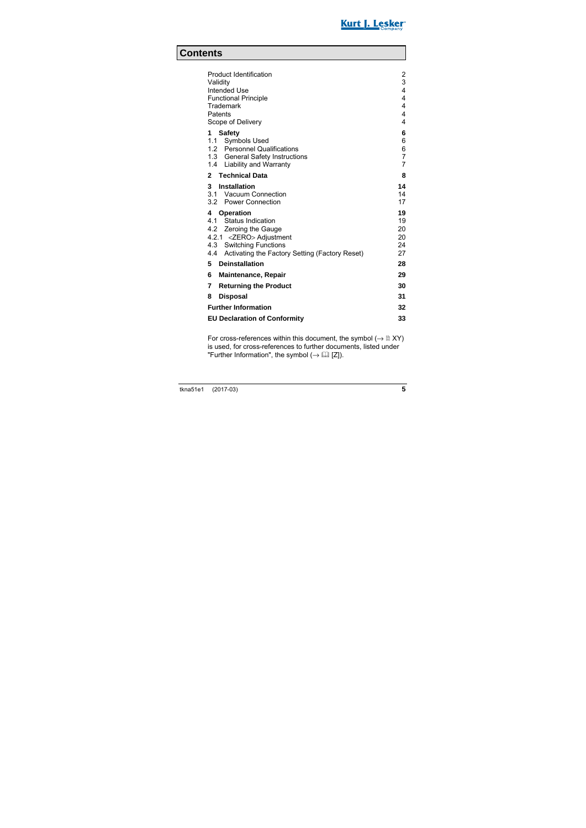

### **Contents**

| Product Identification<br>Validity<br>Intended Use<br><b>Functional Principle</b><br>Trademark<br>Patents<br>Scope of Delivery                                                            | $\overline{2}$<br>3<br>4<br>4<br>4<br>4<br>4    |
|-------------------------------------------------------------------------------------------------------------------------------------------------------------------------------------------|-------------------------------------------------|
| <b>Safety</b><br>1<br>1.1 Symbols Used<br>1.2 Personnel Qualifications<br>1.3 General Safety Instructions<br>1.4 Liability and Warranty                                                   | 6<br>6<br>6<br>$\overline{7}$<br>$\overline{7}$ |
| 2 Technical Data                                                                                                                                                                          | 8                                               |
| 3 Installation<br>3.1 Vacuum Connection<br>3.2 Power Connection                                                                                                                           | 14<br>14<br>17                                  |
| Operation<br>4<br>4.1 Status Indication<br>4.2 Zeroing the Gauge<br>4.2.1 <zero> Adjustment<br/>4.3 Switching Functions<br/>4.4<br/>Activating the Factory Setting (Factory Reset)</zero> | 19<br>19<br>20<br>20<br>24<br>27                |
| 5<br><b>Deinstallation</b>                                                                                                                                                                | 28                                              |
| 6<br><b>Maintenance, Repair</b>                                                                                                                                                           | 29                                              |
| <b>Returning the Product</b><br>7                                                                                                                                                         | 30                                              |
| 8<br>Disposal                                                                                                                                                                             | 31                                              |
| <b>Further Information</b>                                                                                                                                                                |                                                 |
| <b>EU Declaration of Conformity</b>                                                                                                                                                       |                                                 |

For cross-references within this document, the symbol  $(\rightarrow \mathbb{B} XY)$ is used, for cross-references to further documents, listed under "Further Information", the symbol  $(\rightarrow \Box \Box \Box)$ .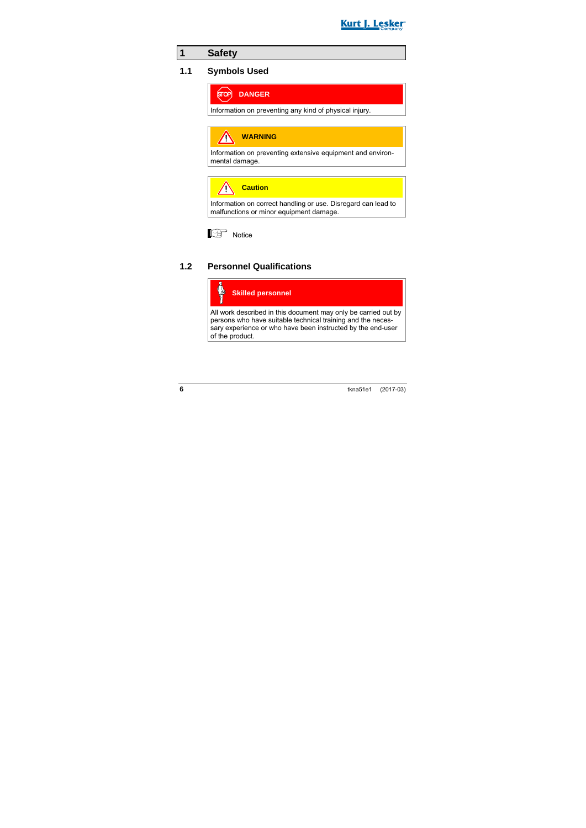

### **1 Safety**

#### **1.1 Symbols Used**



Information on preventing any kind of physical injury.

**WARNING** Λ

Information on preventing extensive equipment and environmental damage.

**Caution**

Information on correct handling or use. Disregard can lead to malfunctions or minor equipment damage.



#### **1.2 Personnel Qualifications**



All work described in this document may only be carried out by persons who have suitable technical training and the necessary experience or who have been instructed by the end-user of the product.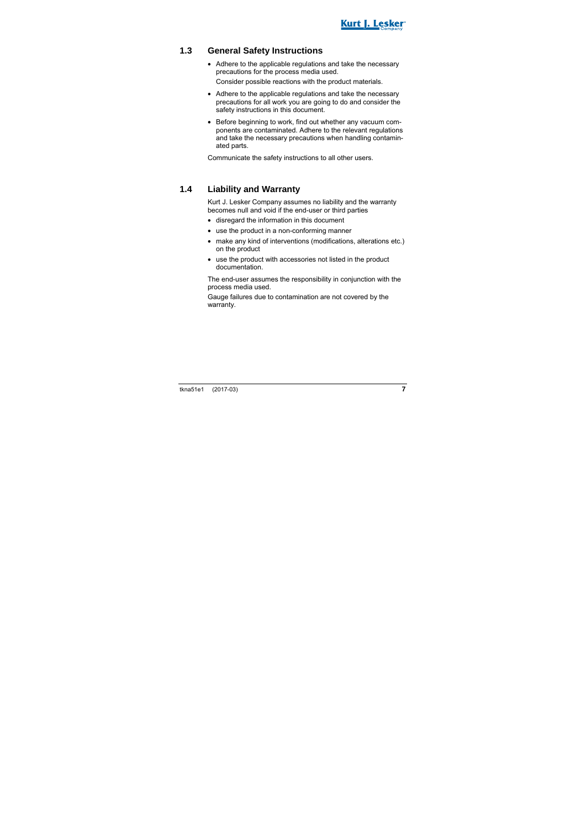

#### **1.3 General Safety Instructions**

- Adhere to the applicable regulations and take the necessary precautions for the process media used. Consider possible reactions with the product materials.
- Adhere to the applicable regulations and take the necessary precautions for all work you are going to do and consider the safety instructions in this document.
- Before beginning to work, find out whether any vacuum components are contaminated. Adhere to the relevant regulations and take the necessary precautions when handling contaminated parts.

Communicate the safety instructions to all other users.

#### **1.4 Liability and Warranty**

Kurt J. Lesker Company assumes no liability and the warranty becomes null and void if the end-user or third parties

- disregard the information in this document
- use the product in a non-conforming manner
- make any kind of interventions (modifications, alterations etc.) on the product
- use the product with accessories not listed in the product documentation.

The end-user assumes the responsibility in conjunction with the process media used.

Gauge failures due to contamination are not covered by the warranty.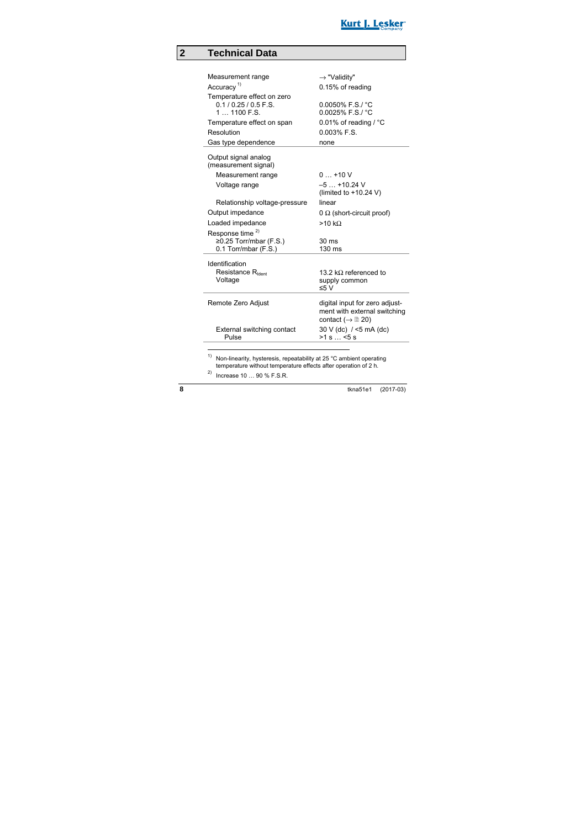

### **2 Technical Data**

| Measurement range                                                                                                                    | $\rightarrow$ "Validity"                                                                                   |
|--------------------------------------------------------------------------------------------------------------------------------------|------------------------------------------------------------------------------------------------------------|
| Accuracy <sup>1)</sup>                                                                                                               | 0.15% of reading                                                                                           |
| Temperature effect on zero<br>$0.1/0.25/0.5$ F.S.<br>$11100$ F.S.<br>Temperature effect on span<br>Resolution<br>Gas type dependence | $0.0050\%$ F.S./ $°C$<br>$0.0025\%$ F.S./ $°C$<br>0.01% of reading / $^{\circ}$ C<br>$0.003%$ F.S.<br>none |
| Output signal analog<br>(measurement signal)                                                                                         |                                                                                                            |
| Measurement range                                                                                                                    | $0+10V$                                                                                                    |
| Voltage range                                                                                                                        | $-5+10.24$ V                                                                                               |
|                                                                                                                                      | (limited to $+10.24$ V)                                                                                    |
| Relationship voltage-pressure                                                                                                        | linear                                                                                                     |
| Output impedance                                                                                                                     | $0 \Omega$ (short-circuit proof)                                                                           |
| Loaded impedance                                                                                                                     | >10 kQ                                                                                                     |
| Response time <sup>2)</sup>                                                                                                          |                                                                                                            |
| ≥0.25 Torr/mbar (F.S.)                                                                                                               | 30 <sub>ms</sub><br>$130 \text{ ms}$                                                                       |
| 0.1 Torr/mbar (F.S.)                                                                                                                 |                                                                                                            |
| Identification<br>Resistance R <sub>Ident</sub><br>Voltage                                                                           | 13.2 k $\Omega$ referenced to                                                                              |
|                                                                                                                                      | supply common<br>≤5 V                                                                                      |
| Remote Zero Adjust                                                                                                                   | digital input for zero adjust-<br>ment with external switching<br>contact ( $\rightarrow \mathbb{B}$ 20)   |
| External switching contact<br>Pulse                                                                                                  | 30 V (dc) / <5 mA (dc)<br>>1 s < 5 s                                                                       |

<sup>1)</sup> Non-linearity, hysteresis, repeatability at 25 °C ambient operating temperature without temperature effects after operation of 2 h.

2) Increase 10 … 90 % F.S.R.

 $\overline{a}$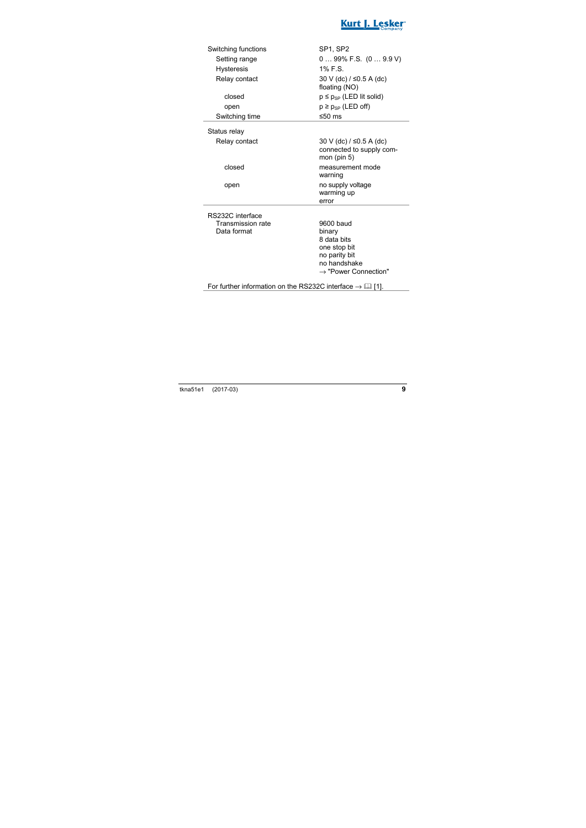

| Switching functions | SP <sub>1</sub> . SP <sub>2</sub>                                     |
|---------------------|-----------------------------------------------------------------------|
| Setting range       | $099\%$ F.S. $(09.9 V)$                                               |
| <b>Hysteresis</b>   | 1% F.S.                                                               |
| Relay contact       | 30 V (dc) / ≤0.5 A (dc)<br>floating (NO)                              |
| closed              | $p \leq p_{SP}$ (LED lit solid)                                       |
| open                | $p \ge p_{SP}$ (LED off)                                              |
| Switching time      | ≤50 $ms$                                                              |
| Status relay        |                                                                       |
| Relay contact       | 30 V (dc) / ≤0.5 A (dc)<br>connected to supply com-<br>mon (pin $5$ ) |
| closed              | measurement mode<br>warning                                           |
| open                | no supply voltage<br>warming up<br>error                              |
| RS232C interface    |                                                                       |
| Transmission rate   | 9600 baud                                                             |
| Data format         | binary                                                                |
|                     | 8 data bits                                                           |
|                     | one stop bit                                                          |
|                     | no parity bit                                                         |
|                     |                                                                       |
|                     | no handshake<br>$\rightarrow$ "Power Connection"                      |

For further information on the RS232C interface  $\rightarrow \Box$  [1].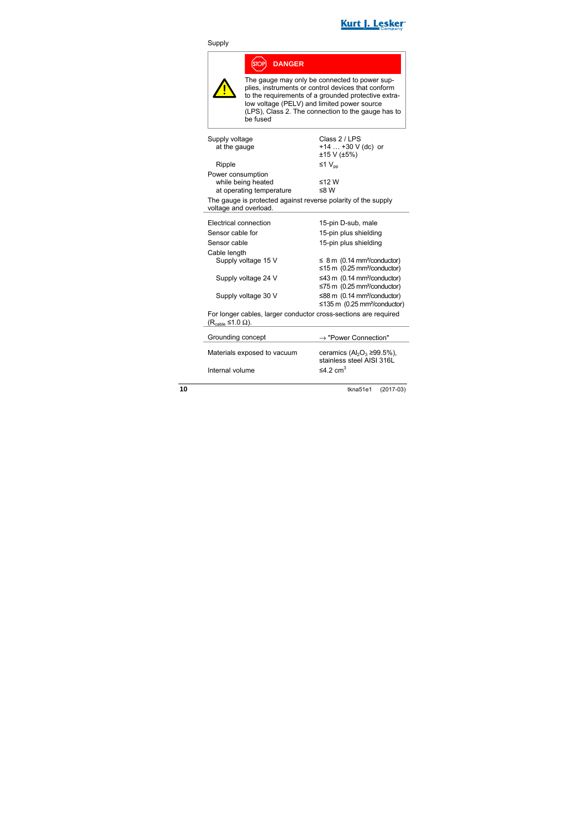

#### Supply

|                                                                                                 |                                                                                                                                                                                                                                                                              | <b>DANGER</b>                                                                                  |  |
|-------------------------------------------------------------------------------------------------|------------------------------------------------------------------------------------------------------------------------------------------------------------------------------------------------------------------------------------------------------------------------------|------------------------------------------------------------------------------------------------|--|
|                                                                                                 | The gauge may only be connected to power sup-<br>plies, instruments or control devices that conform<br>to the requirements of a grounded protective extra-<br>low voltage (PELV) and limited power source<br>(LPS), Class 2. The connection to the gauge has to<br>he fused: |                                                                                                |  |
| Supply voltage<br>at the gauge                                                                  |                                                                                                                                                                                                                                                                              | Class 2 / LPS<br>+14  +30 V (dc) or<br>±15 V (±5%)                                             |  |
| Ripple                                                                                          |                                                                                                                                                                                                                                                                              | ≤1 $V_{nn}$                                                                                    |  |
| Power consumption<br>voltage and overload.                                                      | while being heated<br>at operating temperature                                                                                                                                                                                                                               | ≤12 W<br>≤8 W<br>The gauge is protected against reverse polarity of the supply                 |  |
| Electrical connection                                                                           |                                                                                                                                                                                                                                                                              | 15-pin D-sub, male                                                                             |  |
| Sensor cable for                                                                                |                                                                                                                                                                                                                                                                              | 15-pin plus shielding                                                                          |  |
| Sensor cable                                                                                    |                                                                                                                                                                                                                                                                              | 15-pin plus shielding                                                                          |  |
| Cable length                                                                                    |                                                                                                                                                                                                                                                                              |                                                                                                |  |
|                                                                                                 | Supply voltage 15 V                                                                                                                                                                                                                                                          | $\leq$ 8 m (0.14 mm <sup>2</sup> /conductor)<br>$\leq$ 15 m (0.25 mm <sup>2</sup> /conductor)  |  |
|                                                                                                 | Supply voltage 24 V                                                                                                                                                                                                                                                          | $\leq$ 43 m (0.14 mm <sup>2</sup> /conductor)<br>$\leq$ 75 m (0.25 mm <sup>2</sup> /conductor) |  |
|                                                                                                 | Supply voltage 30 V                                                                                                                                                                                                                                                          | ≤88 m (0.14 mm <sup>2</sup> /conductor)<br>$\leq$ 135 m (0.25 mm <sup>2</sup> /conductor)      |  |
| For longer cables, larger conductor cross-sections are required<br>(R <sub>cable</sub> ≤1.0 Ω). |                                                                                                                                                                                                                                                                              |                                                                                                |  |
| Grounding concept                                                                               |                                                                                                                                                                                                                                                                              | → "Power Connection"                                                                           |  |

Materials exposed to vacuum ceramics  $(AI_2O_3 \ge 99.5\%),$ Internal volume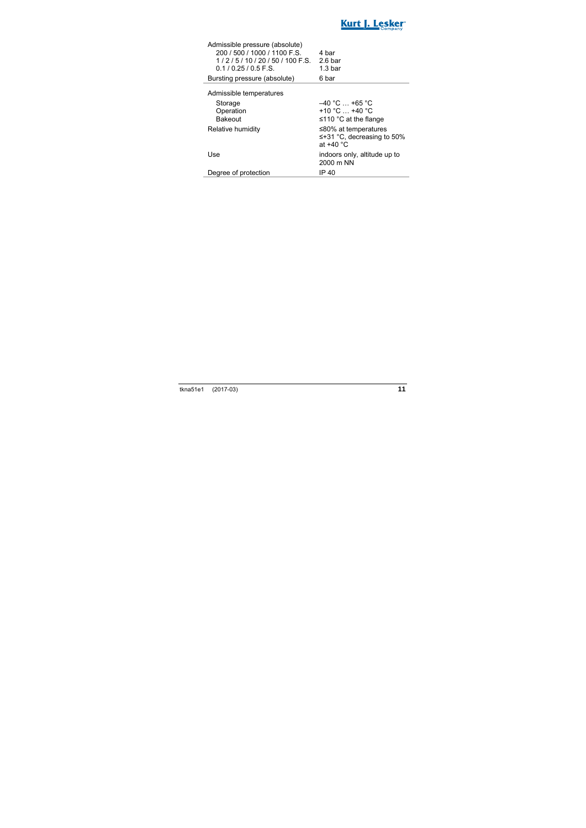

| Admissible pressure (absolute) |                    |
|--------------------------------|--------------------|
| 200 / 500 / 1000 / 1100 F.S.   | 4 bar              |
| $1/2/5/10/20/50/100$ F.S.      | $2.6b$ ar          |
| $0.1/0.25/0.5$ F.S.            | 1.3 <sub>bar</sub> |
| Bursting pressure (absolute)   | 6 bar              |
|                                |                    |

Admissible temperatures

| Storage<br>Operation<br><b>Bakeout</b> | $-40$ °C $$ +65 °C<br>+10 °C $$ +40 °C<br>$\leq$ 110 °C at the flange      |
|----------------------------------------|----------------------------------------------------------------------------|
| Relative humidity                      | $≤80\%$ at temperatures<br>$\leq +31$ °C, decreasing to 50%<br>at $+40 °C$ |
| Use                                    | indoors only, altitude up to<br>2000 m NN                                  |
| Degree of protection                   | IP 40                                                                      |

i.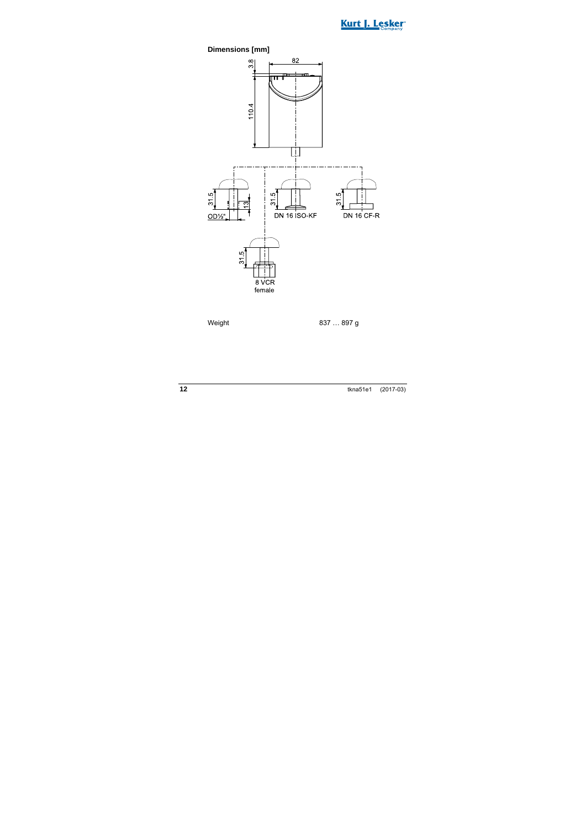



Weight 837 ... 897 g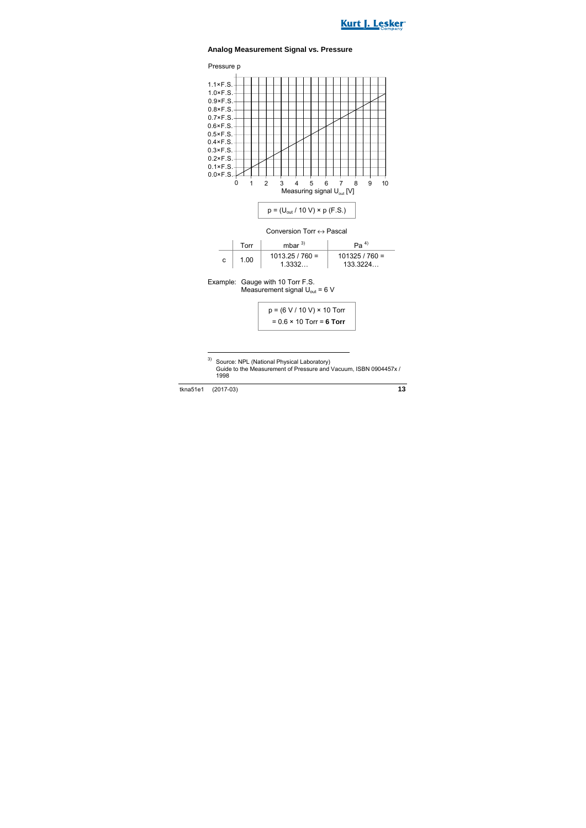



#### **Analog Measurement Signal vs. Pressure**



|   | Torr | mhar $^{3)}$                | Pa <sup>4</sup>            |
|---|------|-----------------------------|----------------------------|
| с | 1.00 | $1013.25 / 760 =$<br>1.3332 | $101325/760 =$<br>133.3224 |

Example: Gauge with 10 Torr F.S. Measurement signal  $U_{\text{out}} = 6$  V

$$
p = (6 V / 10 V) \times 10
$$
 Torr  
= 0.6 × 10 Torr = **6 Torr**

1

<sup>3)</sup> Source: NPL (National Physical Laboratory) Guide to the Measurement of Pressure and Vacuum, ISBN 0904457x / 1998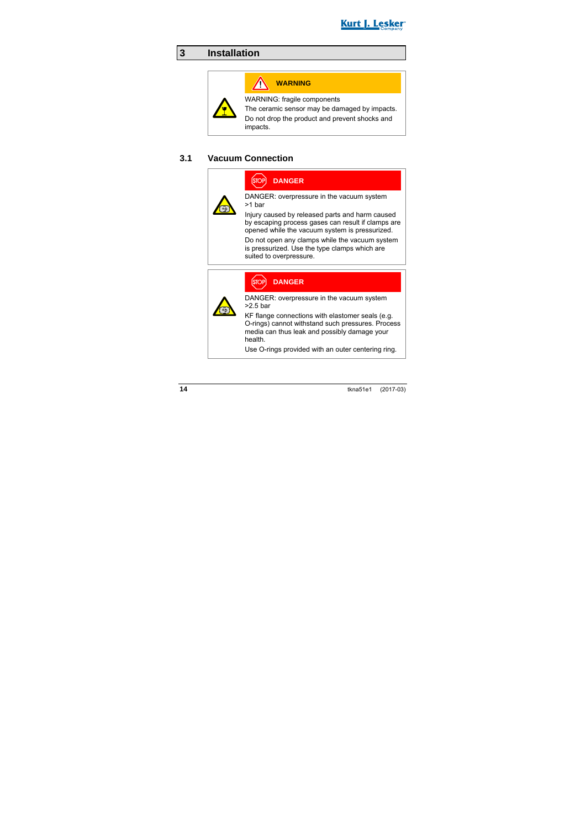

### **3 Installation**

## **WARNING**

WARNING: fragile components

The ceramic sensor may be damaged by impacts.

Do not drop the product and prevent shocks and impacts.

#### **3.1 Vacuum Connection**

**DANGER**

DANGER: overpressure in the vacuum system >1 bar

Injury caused by released parts and harm caused by escaping process gases can result if clamps are opened while the vacuum system is pressurized.

Do not open any clamps while the vacuum system is pressurized. Use the type clamps which are suited to overpressure.



#### **DANGER**

DANGER: overpressure in the vacuum system >2.5 bar

KF flange connections with elastomer seals (e.g. O-rings) cannot withstand such pressures. Process media can thus leak and possibly damage your health.

Use O-rings provided with an outer centering ring.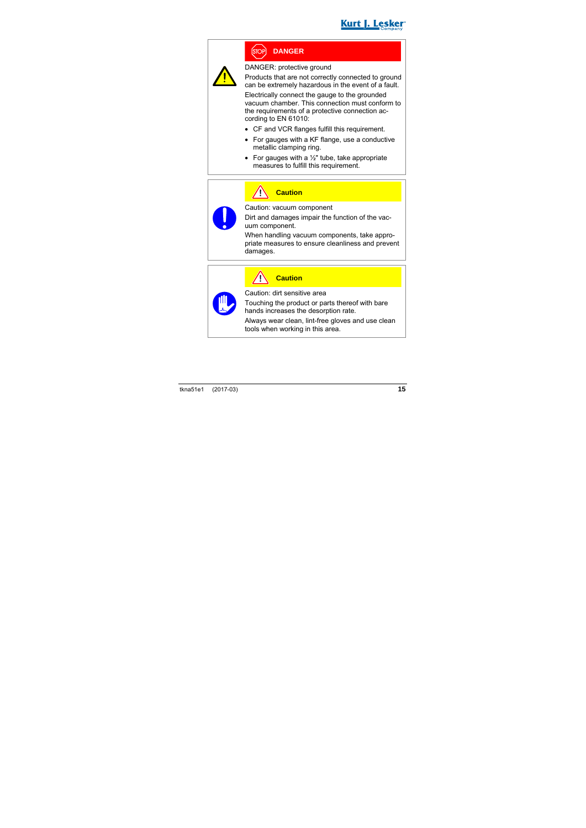

### **DANGER**

DANGER: protective ground

Products that are not correctly connected to ground can be extremely hazardous in the event of a fault.

Electrically connect the gauge to the grounded vacuum chamber. This connection must conform to the requirements of a protective connection according to EN 61010:

- CF and VCR flanges fulfill this requirement.
- For gauges with a KF flange, use a conductive metallic clamping ring.
- For gauges with a  $\frac{1}{2}$ " tube, take appropriate measures to fulfill this requirement.



### **Caution**

Caution: vacuum component

Dirt and damages impair the function of the vacuum component.

When handling vacuum components, take appropriate measures to ensure cleanliness and prevent damages.

**Caution** Caution: dirt sensitive area

Touching the product or parts thereof with bare hands increases the desorption rate.

Always wear clean, lint-free gloves and use clean tools when working in this area.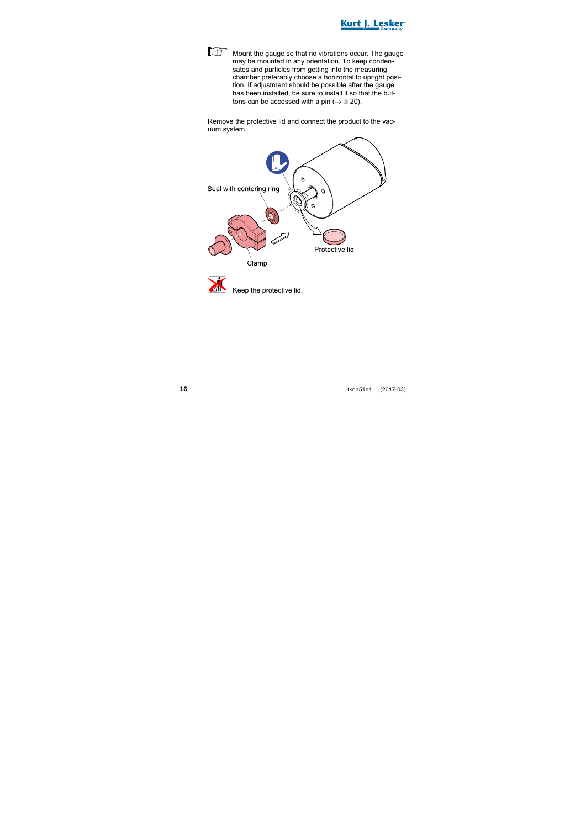

Mount the gauge so that no vibrations occur. The gauge may be mounted in any orientation. To keep condensates and particles from getting into the measuring chamber preferably choose a horizontal to upright position. If adjustment should be possible after the gauge has been installed, be sure to install it so that the buttons can be accessed with a pin ( $\rightarrow \mathbb{B}$  20).

Remove the protective lid and connect the product to the vacuum system.

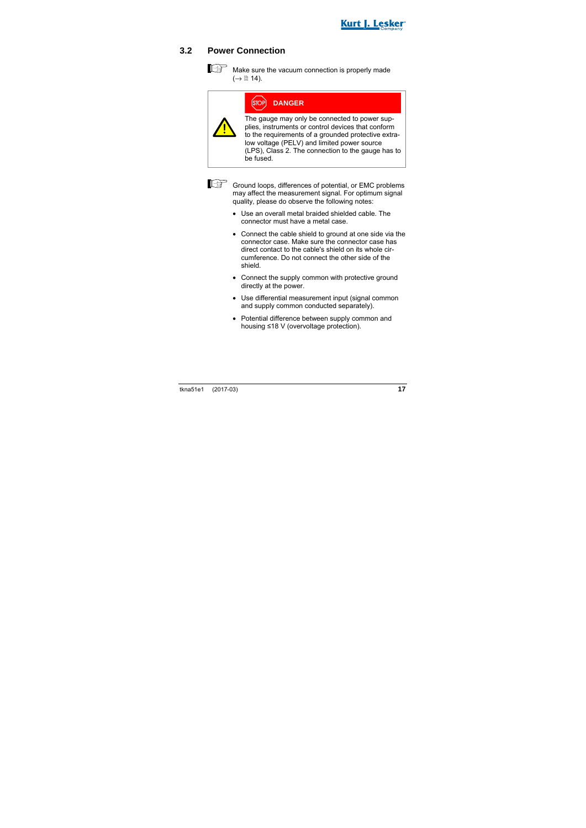

#### **3.2 Power Connection**

Make sure the vacuum connection is properly made  $(\rightarrow \Box$  14).

| OP] : | <b>DANGER</b> |  |
|-------|---------------|--|
|       |               |  |

The gauge may only be connected to power supplies, instruments or control devices that conform to the requirements of a grounded protective extralow voltage (PELV) and limited power source (LPS), Class 2. The connection to the gauge has to be fused.



Ground loops, differences of potential, or EMC problems may affect the measurement signal. For optimum signal quality, please do observe the following notes:

- Use an overall metal braided shielded cable. The connector must have a metal case.
- Connect the cable shield to ground at one side via the connector case. Make sure the connector case has direct contact to the cable's shield on its whole circumference. Do not connect the other side of the shield.
- Connect the supply common with protective ground directly at the power.
- Use differential measurement input (signal common and supply common conducted separately).
- Potential difference between supply common and housing ≤18 V (overvoltage protection).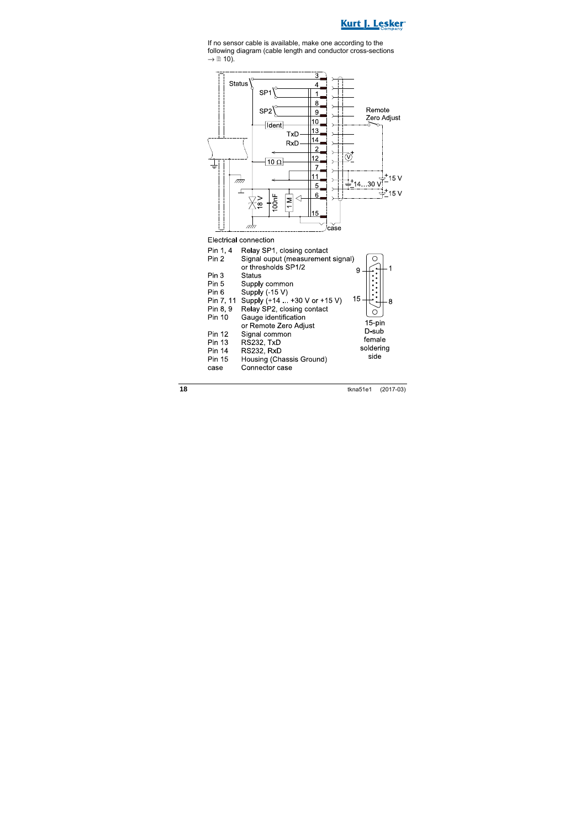

If no sensor cable is available, make one according to the following diagram (cable length and conductor cross-sections  $\rightarrow \mathbb{B}$  10).



Electrical connection

| Pin 1, 4      | Relay SP1, closing contact        |           |
|---------------|-----------------------------------|-----------|
| Pin 2         | Signal ouput (measurement signal) |           |
|               | or thresholds SP1/2               | 9         |
| Pin 3         | Status                            |           |
| Pin 5         | Supply common                     |           |
| Pin 6         | Supply (-15 V)                    |           |
| Pin 7, 11     | Supply (+14 +30 V or +15 V)       | 15        |
| Pin 8, 9      | Relay SP2, closing contact        |           |
| Pin 10        | Gauge identification              |           |
|               | or Remote Zero Adjust             | 15-pin    |
| Pin 12        | Signal common                     | D-sub     |
| Pin 13        | RS232, TxD                        | female    |
| <b>Pin 14</b> | RS232. RxD                        | soldering |
| <b>Pin 15</b> | Housing (Chassis Ground)          | side      |
| case          | Connector case                    |           |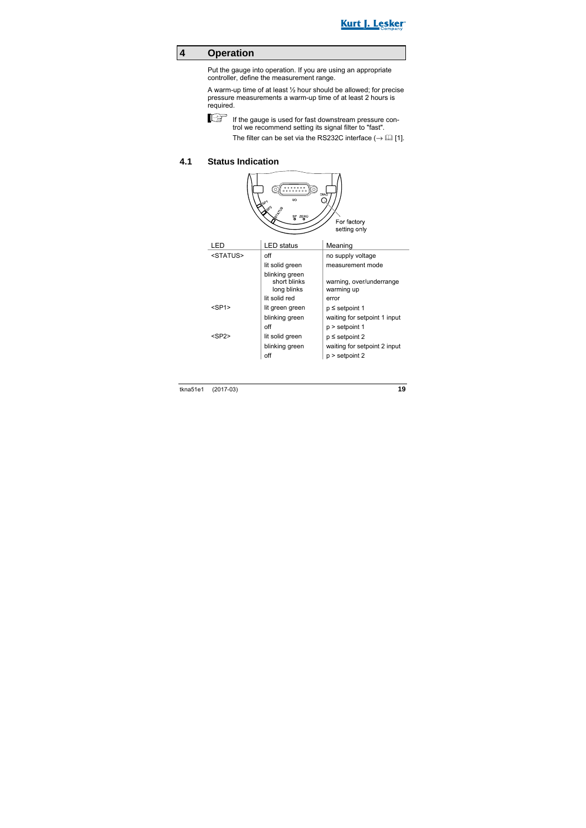

#### **4 Operation**

Put the gauge into operation. If you are using an appropriate controller, define the measurement range.

A warm-up time of at least ½ hour should be allowed; for precise pressure measurements a warm-up time of at least 2 hours is required.



If the gauge is used for fast downstream pressure control we recommend setting its signal filter to "fast".

The filter can be set via the RS232C interface  $(\rightarrow \Box \Box)$  [1].

#### **4.1 Status Indication**

| DIAG<br>vo<br>cβ<br>SP ZERO<br>For factory<br>setting only |                                               |                                        |  |
|------------------------------------------------------------|-----------------------------------------------|----------------------------------------|--|
| LED                                                        | <b>LED</b> status                             | Meaning                                |  |
| <status></status>                                          | off                                           | no supply voltage                      |  |
|                                                            | lit solid green                               | measurement mode                       |  |
|                                                            | blinking green<br>short blinks<br>long blinks | warning, over/underrange<br>warming up |  |
|                                                            | lit solid red                                 | error                                  |  |
| $<$ SP1 $>$                                                | lit green green                               | $p \le$ setpoint 1                     |  |
|                                                            | blinking green                                | waiting for setpoint 1 input           |  |
|                                                            | off                                           | p > setpoint 1                         |  |
| <sp2></sp2>                                                | lit solid green                               | $p \le$ setpoint 2                     |  |
|                                                            | blinking green                                | waiting for setpoint 2 input           |  |
|                                                            | off                                           | $p >$ setpoint 2                       |  |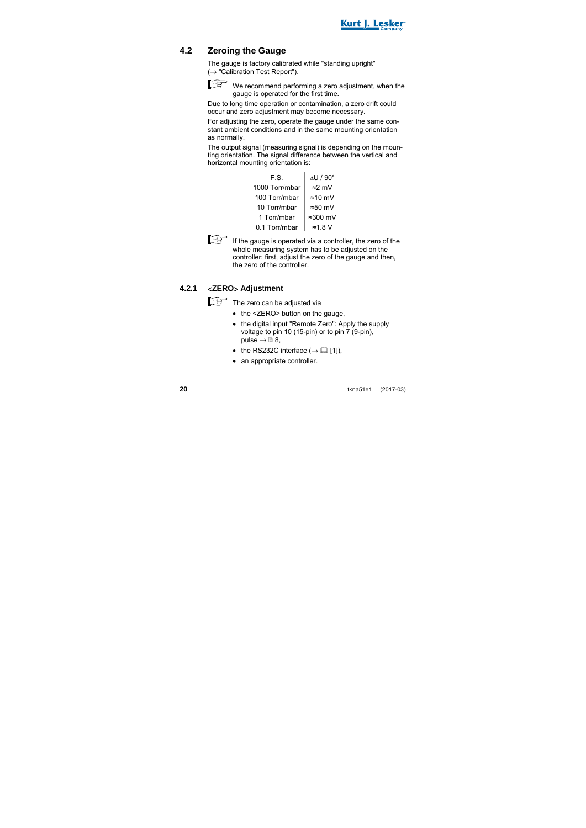

#### **4.2 Zeroing the Gauge**

The gauge is factory calibrated while "standing upright"  $(\rightarrow$  "Calibration Test Report").



We recommend performing a zero adjustment, when the gauge is operated for the first time.

Due to long time operation or contamination, a zero drift could occur and zero adjustment may become necessary.

For adjusting the zero, operate the gauge under the same constant ambient conditions and in the same mounting orientation as normally.

The output signal (measuring signal) is depending on the mounting orientation. The signal difference between the vertical and horizontal mounting orientation is:

| F.S.           | $\Delta$ U / 90 $^{\circ}$ |
|----------------|----------------------------|
| 1000 Torr/mbar | $\approx$ 2 mV             |
| 100 Torr/mbar  | $\approx$ 10 mV            |
| 10 Torr/mbar   | $\approx 50$ mV            |
| 1 Torr/mbar    | $\approx$ 300 mV           |
| 0.1 Torr/mbar  | $\approx$ 1.8 V            |



 $\mathbb{E}$  If the gauge is operated via a controller, the zero of the whole measuring system has to be adjusted on the controller: first, adjust the zero of the gauge and then, the zero of the controller.

#### **4.2.1** <**ZERO**> **Adjus**t**ment**

The zero can be adjusted via

- the <ZERO> button on the gauge.
- the digital input "Remote Zero": Apply the supply voltage to pin 10 (15-pin) or to pin 7 (9-pin), pulse  $\rightarrow \mathbb{B}$  8.
- the RS232C interface  $(\rightarrow \Box$  [1]).
- an appropriate controller.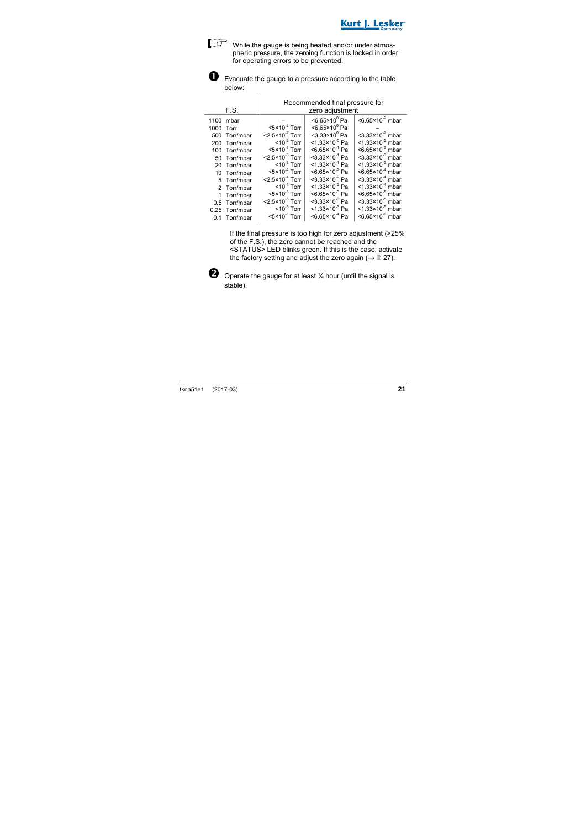While the gauge is being heated and/or under atmospheric pressure, the zeroing function is locked in order for operating errors to be prevented.



 $\overline{1}$ 

**O** Evacuate the gauge to a pressure according to the table below:

|           |                |                                         | Recommended final pressure for |                                         |
|-----------|----------------|-----------------------------------------|--------------------------------|-----------------------------------------|
|           | F.S.           |                                         | zero adjustment                |                                         |
| 1100      | mbar           |                                         | $<6.65\times10^{0}$ Pa         | $<$ 6.65 $\times$ 10 <sup>-2</sup> mbar |
| 1000 Torr |                | $<$ 5×10 <sup>-2</sup> Torr             | $<6.65\times10^{0}$ Pa         |                                         |
|           | 500 Torr/mbar  | $<$ 2.5 $\times$ 10 <sup>-2</sup> Torr  | $<$ 3.33×10 $^{\circ}$ Pa      | $<$ 3.33×10 <sup>-2</sup> mbar          |
|           | 200 Torr/mbar  | $<$ 10 <sup>-2</sup> Torr               | $<$ 1.33×10 <sup>-0</sup> Pa   | $<$ 1.33×10 <sup>-2</sup> mbar          |
|           | 100 Torr/mbar  | $<$ 5×10 <sup>-3</sup> Torr             | $< 6.65 \times 10^{-1}$ Pa     | $<6.65\times10^{-3}$ mbar               |
|           | 50 Torr/mbar   | $<$ 2.5 $\times$ 10 <sup>-3</sup> Torr  | $<$ 3.33×10 <sup>-1</sup> Pa   | $<$ 3.33×10 <sup>-3</sup> mbar          |
|           | 20 Torr/mbar   | $< 10^{-3}$ Torr                        | $<$ 1.33×10 <sup>-1</sup> Pa   | $<$ 1.33×10 <sup>-3</sup> mbar          |
|           | 10 Torr/mbar   | $<$ 5×10 <sup><math>+</math></sup> Torr | $< 6.65 \times 10^{-2}$ Pa     | $<6.65\times10^{-4}$ mbar               |
|           | 5 Torr/mbar    | $<$ 2.5 $\times$ 10 <sup>-4</sup> Torr  | $<$ 3.33×10 <sup>-2</sup> Pa   | $<$ 3.33×10 <sup>-4</sup> mbar          |
|           | 2 Torr/mbar    | $< 10^{-4}$ Torr                        | $<$ 1.33×10 <sup>-2</sup> Pa   | $<$ 1.33×10 <sup>-4</sup> mbar          |
|           | 1 Torr/mbar    | $<$ 5 $\times$ 10 <sup>-5</sup> Torr    | $<6.65\times10^{3}$ Pa         | $< 6.65 \times 10^{-5}$ mbar            |
|           | 0.5 Torr/mbar  | $<$ 2.5 $\times$ 10 <sup>-5</sup> Torr  | $<$ 3.33×10 <sup>-3</sup> Pa   | $<$ 3.33×10 <sup>-5</sup> mbar          |
|           | 0.25 Torr/mbar | $<$ 10 <sup>-5</sup> Torr               | $<$ 1.33×10 <sup>-3</sup> Pa   | $<$ 1.33×10 <sup>-5</sup> mbar          |
|           | 0.1 Torr/mbar  | $<$ 5 $\times$ 10 <sup>-6</sup> Torr    | $< 6.65 \times 10^{-4}$ Pa     | $<$ 6.65×10 <sup>-6</sup> mbar          |

If the final pressure is too high for zero adjustment (>25% of the F.S.), the zero cannot be reached and the <STATUS> LED blinks green. If this is the case, activate the factory setting and adjust the zero again ( $\rightarrow \mathbb{B}$  27).



 $\bullet$  Operate the gauge for at least  $\frac{1}{4}$  hour (until the signal is stable).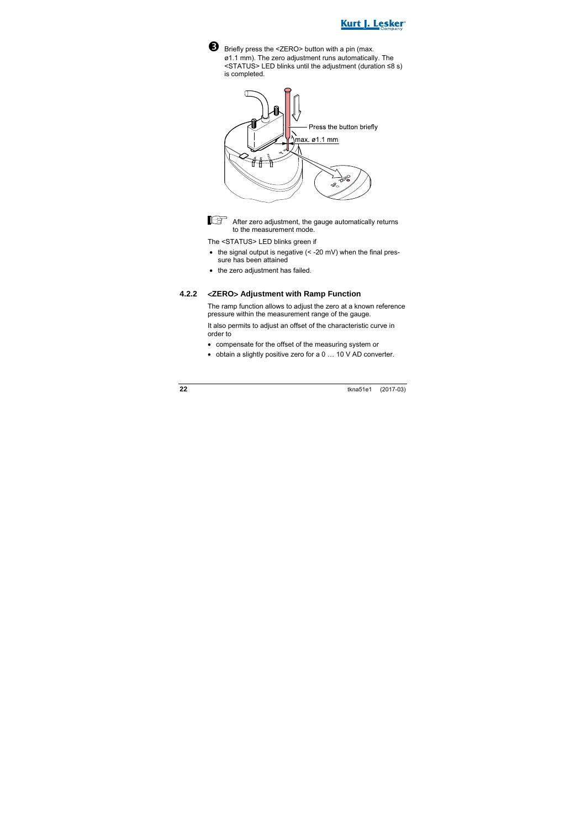



 Briefly press the <ZERO> button with a pin (max. ø1.1 mm). The zero adjustment runs automatically. The <STATUS> LED blinks until the adjustment (duration ≤8 s) is completed.



 $\mathbb{R}^{\mathbb{R}}$  After zero adjustment, the gauge automatically returns to the measurement mode.

The <STATUS> LED blinks green if

- $\bullet$  the signal output is negative  $($  < -20 mV) when the final pressure has been attained
- the zero adiustment has failed.

#### **4.2.2** <**ZERO**> **Adjustment with Ramp Function**

The ramp function allows to adjust the zero at a known reference pressure within the measurement range of the gauge.

It also permits to adjust an offset of the characteristic curve in order to

- compensate for the offset of the measuring system or
- obtain a slightly positive zero for a 0 … 10 V AD converter.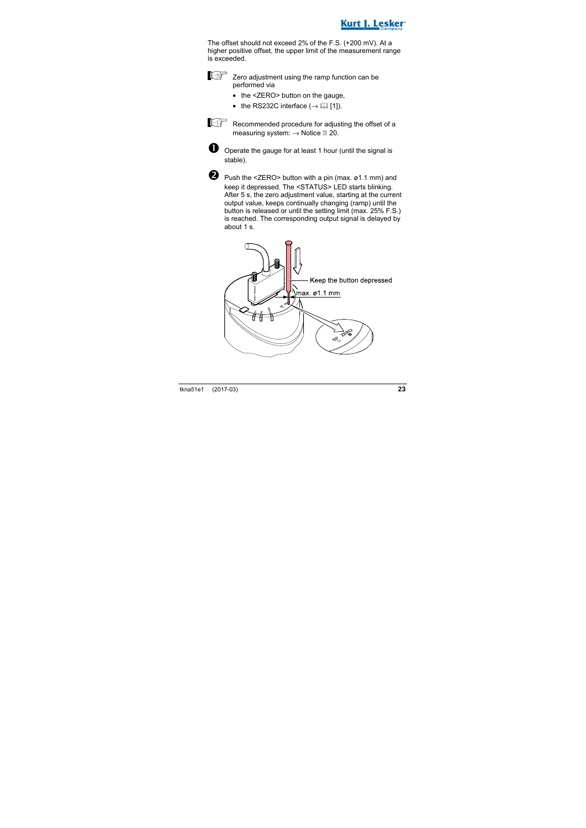

The offset should not exceed 2% of the F.S. (+200 mV). At a higher positive offset, the upper limit of the measurement range is exceeded.



- the <ZERO> button on the gauge.
- the RS232C interface  $($   $\rightarrow$   $[$  $]$  [1]).



Recommended procedure for adjusting the offset of a measuring system:  $\rightarrow$  Notice  $\cong$  20.



 $\bullet$  Operate the gauge for at least 1 hour (until the signal is stable).



Push the <ZERO> button with a pin (max. ø1.1 mm) and keep it depressed. The <STATUS> LED starts blinking. After 5 s, the zero adjustment value, starting at the current output value, keeps continually changing (ramp) until the button is released or until the setting limit (max. 25% F.S.) is reached. The corresponding output signal is delayed by about 1 s.

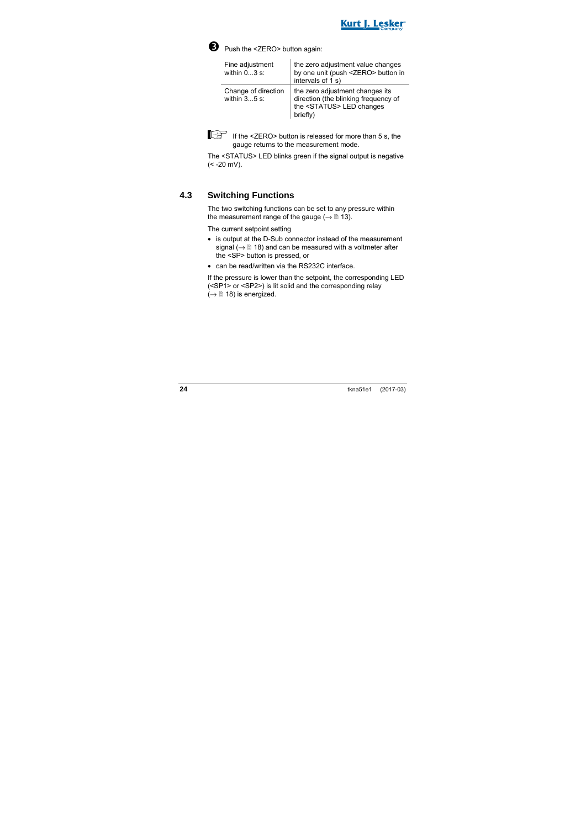



Push the <ZERO> button again:

| Fine adjustment<br>within $03$ s:     | the zero adjustment value changes<br>by one unit (push <zero> button in<br/>intervals of 1 s)</zero>                      |
|---------------------------------------|---------------------------------------------------------------------------------------------------------------------------|
| Change of direction<br>within $35$ s: | the zero adjustment changes its<br>direction (the blinking frequency of<br>the <status> LED changes<br/>briefly)</status> |



If  $\text{If the}$  <ZERO> button is released for more than 5 s, the gauge returns to the measurement mode.

The <STATUS> LED blinks green if the signal output is negative  $(< -20$  mV).

#### **4.3 Switching Functions**

The two switching functions can be set to any pressure within the measurement range of the gauge ( $\rightarrow \mathbb{R}$  13).

The current setpoint setting

- is output at the D-Sub connector instead of the measurement signal ( $\rightarrow \mathbb{B}$  18) and can be measured with a voltmeter after the <SP> button is pressed, or
- can be read/written via the RS232C interface.

If the pressure is lower than the setpoint, the corresponding LED (<SP1> or <SP2>) is lit solid and the corresponding relay  $(\rightarrow \Box$  18) is energized.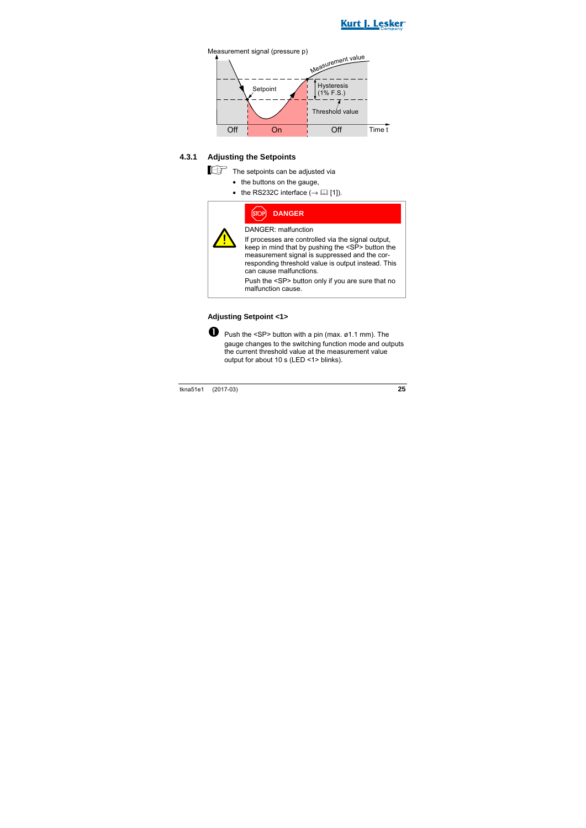



#### **4.3.1 Adjusting the Setpoints**

The setpoints can be adjusted via

- the buttons on the gauge,
- the RS232C interface  $(\rightarrow \Box$  [1]).

| P) | <b>DANGER</b> |  |
|----|---------------|--|
|    |               |  |

DANGER: malfunction

If processes are controlled via the signal output, keep in mind that by pushing the <SP> button the measurement signal is suppressed and the corresponding threshold value is output instead. This can cause malfunctions.

Push the <SP> button only if you are sure that no malfunction cause.

#### **Adjusting Setpoint <1>**



**P** Push the  $\leq$ SP> button with a pin (max.  $\emptyset$ 1.1 mm). The gauge changes to the switching function mode and outputs the current threshold value at the measurement value output for about 10 s (LED <1> blinks).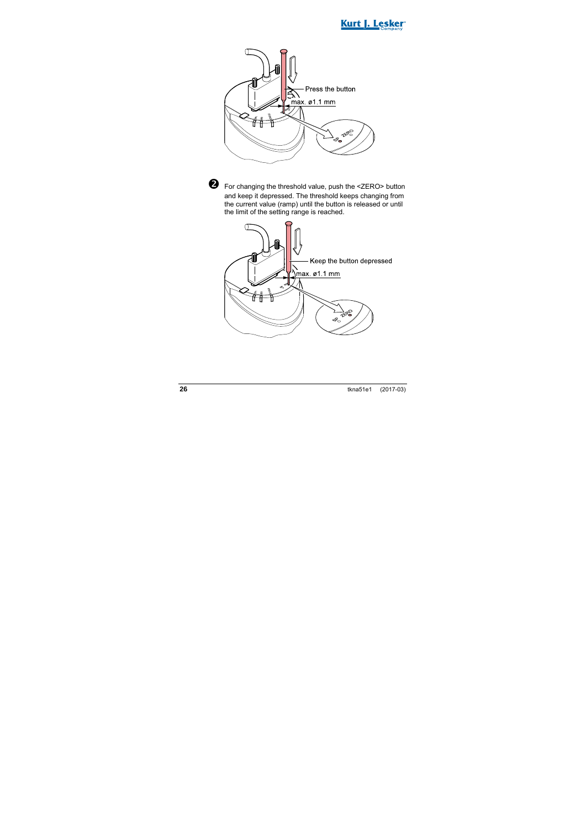



 For changing the threshold value, push the <ZERO> button and keep it depressed. The threshold keeps changing from the current value (ramp) until the button is released or until the limit of the setting range is reached.

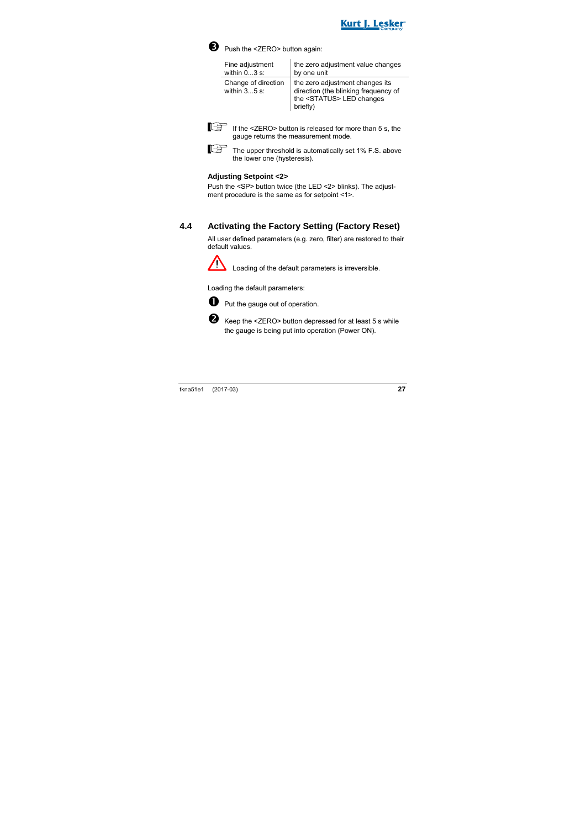



Push the <ZERO> button again:

| Fine adjustment                       | the zero adjustment value changes                                                                                         |
|---------------------------------------|---------------------------------------------------------------------------------------------------------------------------|
| within $03$ s:                        | by one unit                                                                                                               |
| Change of direction<br>within $35$ s: | the zero adjustment changes its<br>direction (the blinking frequency of<br>the <status> LED changes<br/>briefly)</status> |



 $\mathbb{E}$  If the <ZERO> button is released for more than 5 s, the gauge returns the measurement mode.

The upper threshold is automatically set 1% F.S. above the lower one (hysteresis).

#### **Adjusting Setpoint <2>**

Push the <SP> button twice (the LED <2> blinks). The adjustment procedure is the same as for setpoint <1>.

#### **4.4 Activating the Factory Setting (Factory Reset)**

All user defined parameters (e.g. zero, filter) are restored to their default values.



Loading of the default parameters is irreversible.

Loading the default parameters:



**D** Put the gauge out of operation.



Keep the <ZERO> button depressed for at least 5 s while the gauge is being put into operation (Power ON).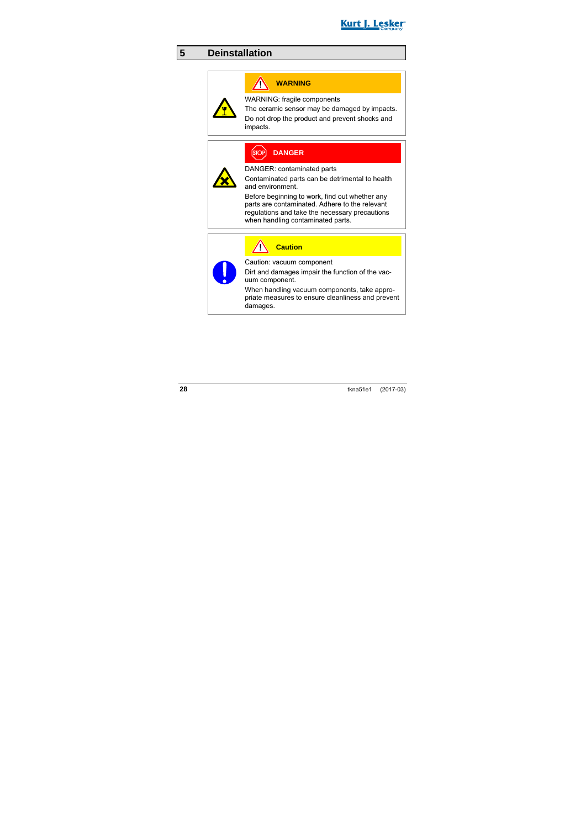

### **5 Deinstallation**

### **WARNING**

WARNING: fragile components

The ceramic sensor may be damaged by impacts.

Do not drop the product and prevent shocks and impacts.

### **DANGER**

DANGER: contaminated parts

Contaminated parts can be detrimental to health and environment.

Before beginning to work, find out whether any parts are contaminated. Adhere to the relevant regulations and take the necessary precautions when handling contaminated parts.

**Caution**

Caution: vacuum component

Dirt and damages impair the function of the vacuum component.

When handling vacuum components, take appropriate measures to ensure cleanliness and prevent damages.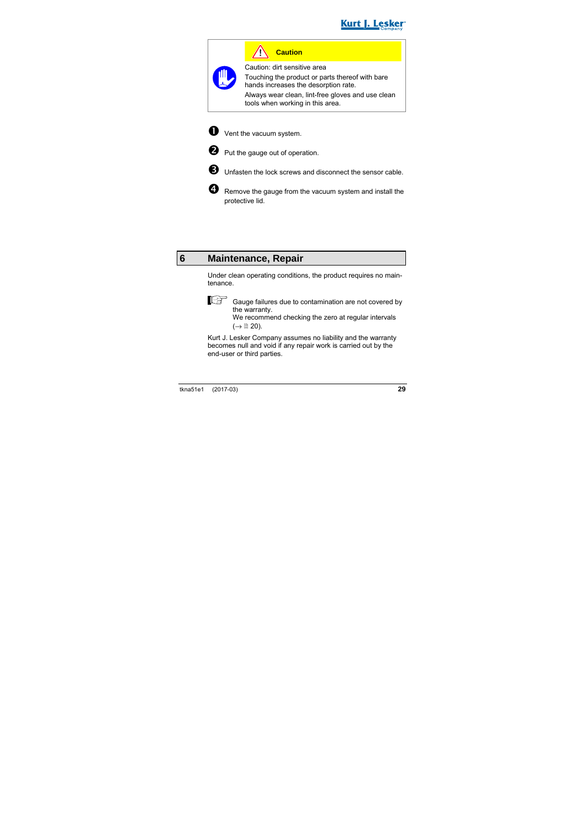

**Caution**

Caution: dirt sensitive area Touching the product or parts thereof with bare hands increases the desorption rate. Always wear clean, lint-free gloves and use clean

tools when working in this area.



**O** Vent the vacuum system.



**Q** Put the gauge out of operation.



**B** Unfasten the lock screws and disconnect the sensor cable.

 Remove the gauge from the vacuum system and install the protective lid.

### **6 Maintenance, Repair**

Under clean operating conditions, the product requires no maintenance.

$$
\mathbb{F}^{\mathbb{F}}
$$

 Gauge failures due to contamination are not covered by the warranty.

We recommend checking the zero at regular intervals  $(\rightarrow \mathbb{B} 20)$ .

Kurt J. Lesker Company assumes no liability and the warranty becomes null and void if any repair work is carried out by the end-user or third parties.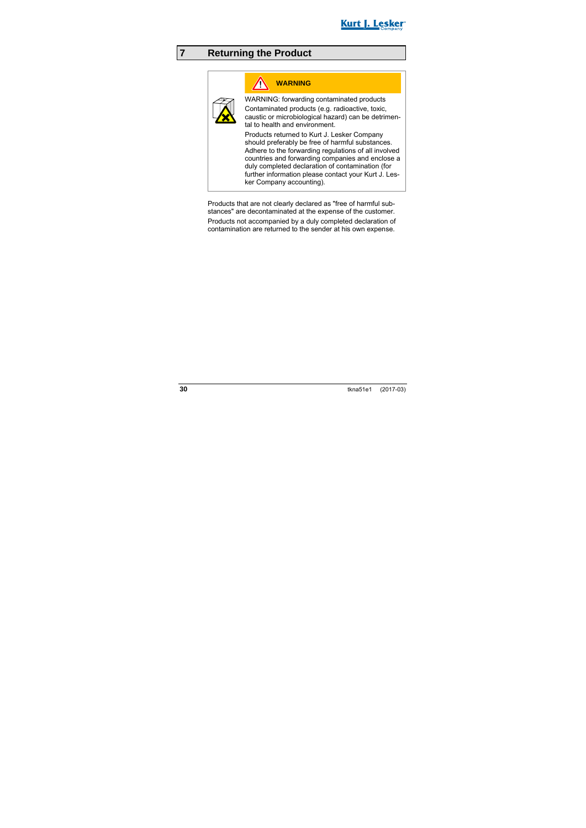

### **7 Returning the Product**

### **WARNING**

WARNING: forwarding contaminated products Contaminated products (e.g. radioactive, toxic, caustic or microbiological hazard) can be detrimental to health and environment.

Products returned to Kurt J. Lesker Company should preferably be free of harmful substances. Adhere to the forwarding regulations of all involved countries and forwarding companies and enclose a duly completed declaration of contamination (for further information please contact your Kurt J. Lesker Company accounting).

Products that are not clearly declared as "free of harmful substances" are decontaminated at the expense of the customer.

Products not accompanied by a duly completed declaration of contamination are returned to the sender at his own expense.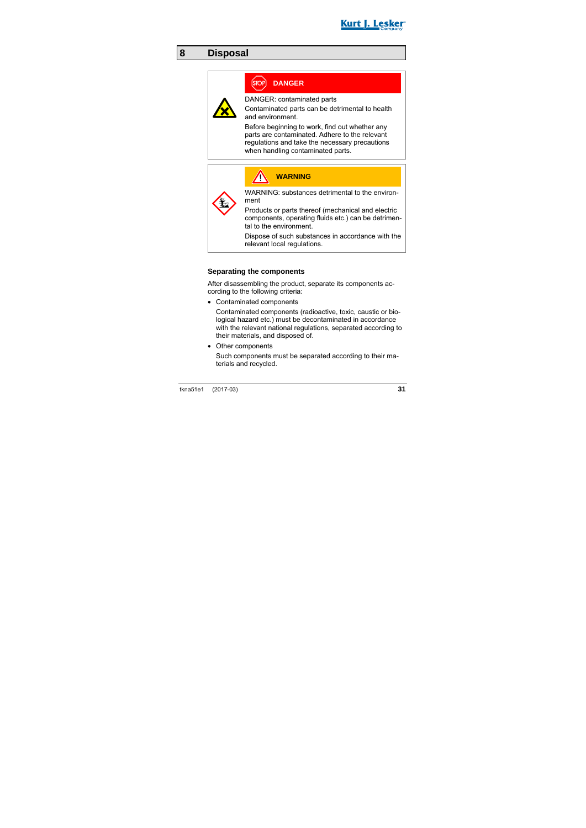

### **8 Disposal**

### **DANGER**

DANGER: contaminated parts

Contaminated parts can be detrimental to health and environment.

Before beginning to work, find out whether any parts are contaminated. Adhere to the relevant regulations and take the necessary precautions when handling contaminated parts.



#### **Separating the components**

After disassembling the product, separate its components according to the following criteria:

• Contaminated components

Contaminated components (radioactive, toxic, caustic or biological hazard etc.) must be decontaminated in accordance with the relevant national regulations, separated according to their materials, and disposed of.

• Other components

Such components must be separated according to their materials and recycled.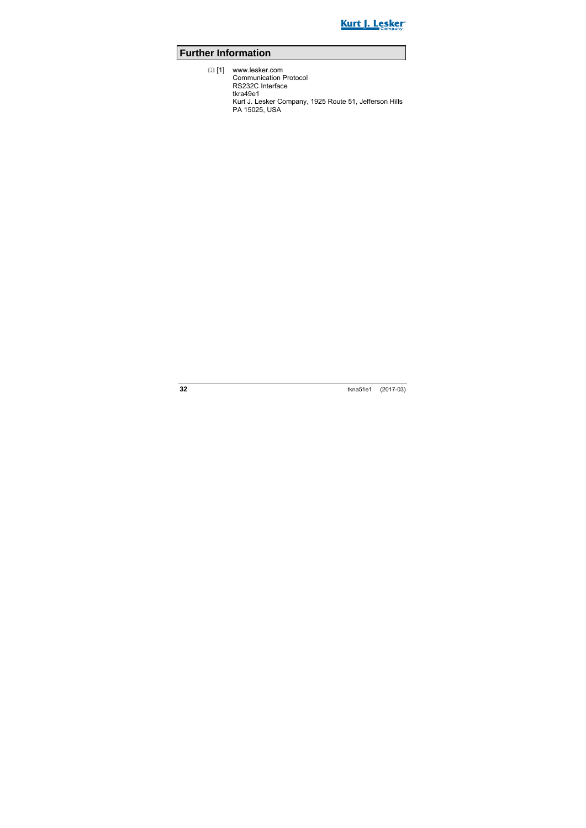

### **Further Information**

 [1] www.lesker.com Communication Protocol RS232C Interface tkra49e1 Kurt J. Lesker Company, 1925 Route 51, Jefferson Hills PA 15025, USA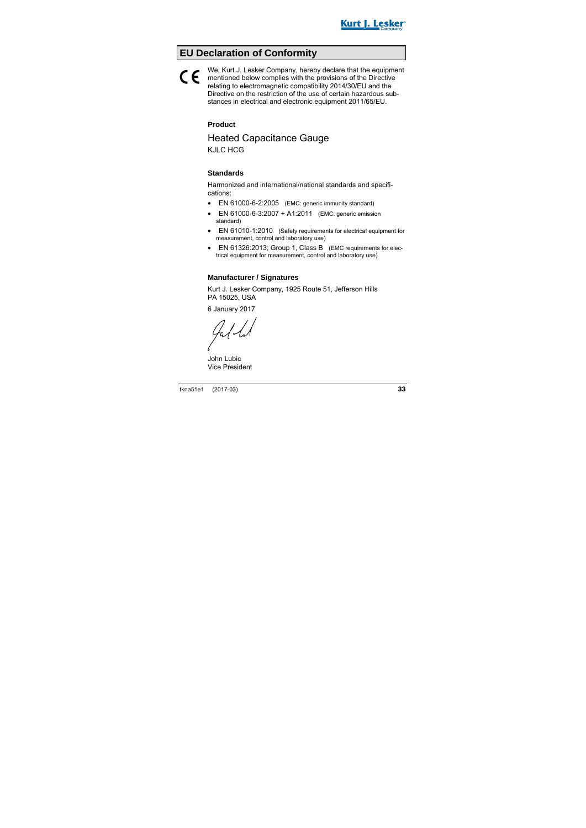

### **EU Declaration of Conformity**

#### We, Kurt J. Lesker Company, hereby declare that the equipment mentioned below complies with the provisions of the Directive<br>relation to electromographic composibility 2014/20/EU and the relating to electromagnetic compatibility 2014/30/EU and the Directive on the restriction of the use of certain hazardous substances in electrical and electronic equipment 2011/65/EU.

#### **Product**

# Heated Capacitance Gauge

KJLC HCG

#### **Standards**

Harmonized and international/national standards and specifications:

- EN 61000-6-2:2005 (EMC: generic immunity standard)
- EN 61000-6-3:2007 + A1:2011 (EMC: generic emission standard)
- EN 61010-1:2010 (Safety requirements for electrical equipment for measurement, control and laboratory use)
- EN 61326:2013: Group 1, Class B (EMC requirements for electrical equipment for measurement, control and laboratory use)

#### **Manufacturer / Signatures**

Kurt J. Lesker Company, 1925 Route 51, Jefferson Hills PA 15025, USA

6 January 2017

Jally

John Lubic Vice President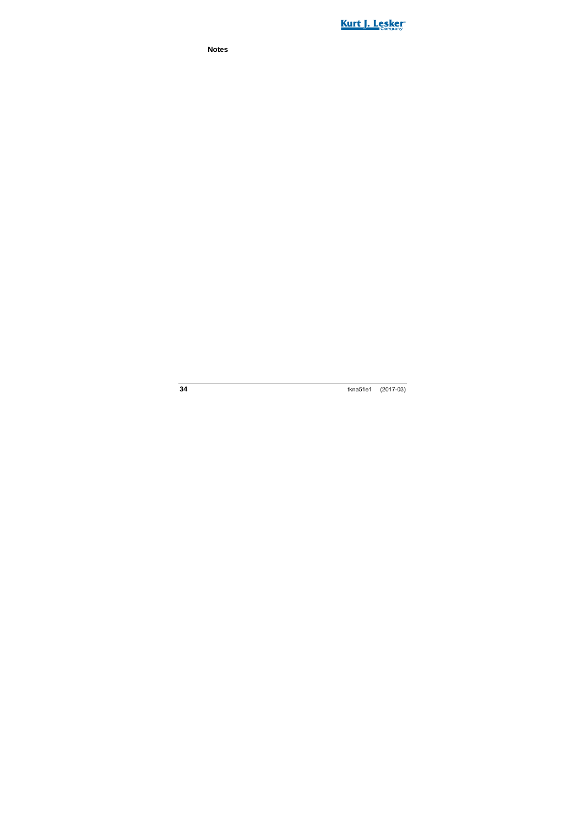

**Notes**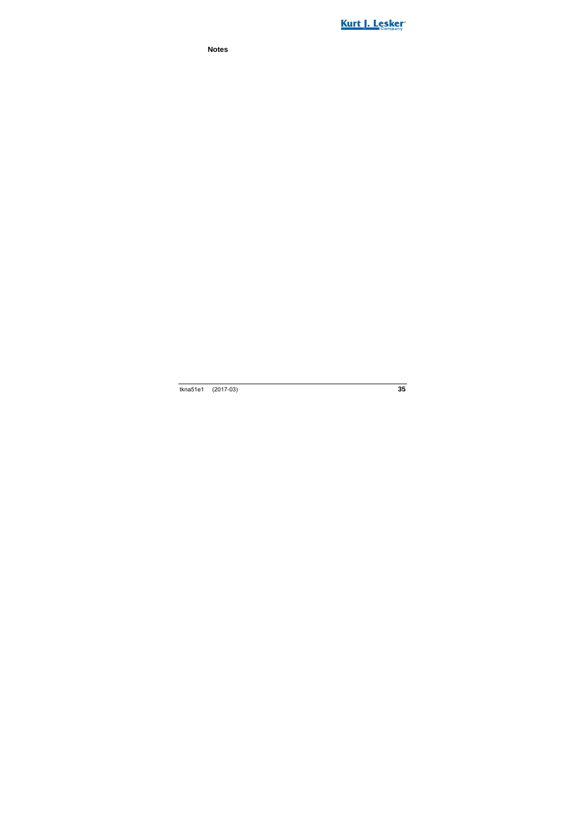

**Notes**